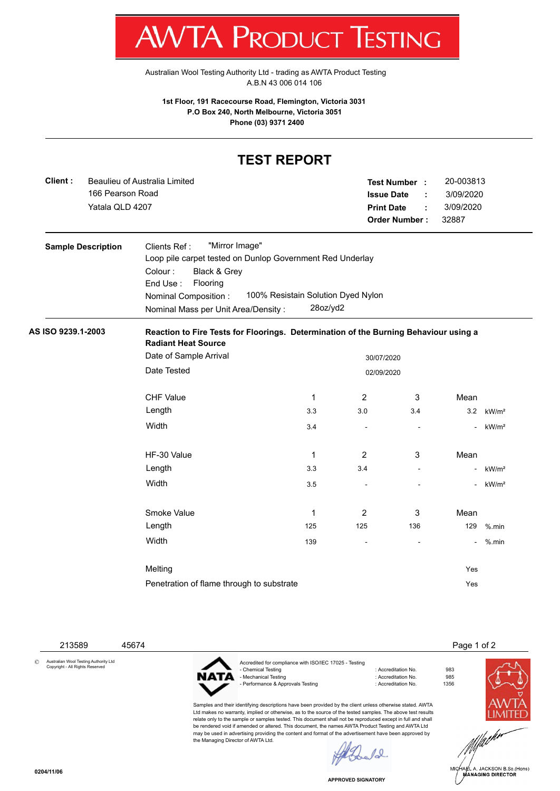[Australian Wool Testing Authority Ltd - trading as AWTA Product Testing](http://www.awtaproducttesting.com.au/) A.B.N 43 006 014 106

**1st Floor, 191 Racecourse Road, Flemington, Victoria 3031 P.O Box 240, North Melbourne, Victoria 3051 Phone (03) 9371 2400**

## **TEST REPORT**

| Client:<br>166 Pearson Road<br>Yatala QLD 4207 | Beaulieu of Australia Limited                                                                                                                                                                                  |                                                | <b>Print Date</b> | Test Number :<br><b>Issue Date</b><br>t<br><b>Order Number:</b> | 20-003813<br>3/09/2020<br>3/09/2020<br>32887 |                   |
|------------------------------------------------|----------------------------------------------------------------------------------------------------------------------------------------------------------------------------------------------------------------|------------------------------------------------|-------------------|-----------------------------------------------------------------|----------------------------------------------|-------------------|
| <b>Sample Description</b>                      | "Mirror Image"<br>Clients Ref:<br>Loop pile carpet tested on Dunlop Government Red Underlay<br>Black & Grey<br>Colour:<br>Flooring<br>End Use:<br>Nominal Composition :<br>Nominal Mass per Unit Area/Density: | 100% Resistain Solution Dyed Nylon<br>28oz/yd2 |                   |                                                                 |                                              |                   |
| AS ISO 9239.1-2003                             | Reaction to Fire Tests for Floorings. Determination of the Burning Behaviour using a<br><b>Radiant Heat Source</b>                                                                                             |                                                |                   |                                                                 |                                              |                   |
|                                                | Date of Sample Arrival<br>30/07/2020                                                                                                                                                                           |                                                |                   |                                                                 |                                              |                   |
|                                                | Date Tested<br>02/09/2020                                                                                                                                                                                      |                                                |                   |                                                                 |                                              |                   |
|                                                | <b>CHF Value</b>                                                                                                                                                                                               | $\mathbf{1}$                                   | 2                 | 3                                                               | Mean                                         |                   |
|                                                | Length                                                                                                                                                                                                         | 3.3                                            | 3.0               | 3.4                                                             | 3.2                                          | kW/m <sup>2</sup> |
|                                                | Width                                                                                                                                                                                                          | 3.4                                            | ÷.                |                                                                 | $\sim$                                       | kW/m <sup>2</sup> |
|                                                | HF-30 Value                                                                                                                                                                                                    | $\mathbf 1$                                    | $\overline{2}$    | 3                                                               | Mean                                         |                   |
|                                                | Length                                                                                                                                                                                                         | 3.3                                            | 3.4               | ÷                                                               | $\blacksquare$                               | kW/m <sup>2</sup> |
|                                                | Width                                                                                                                                                                                                          | 3.5                                            |                   |                                                                 | ÷.                                           | kW/m <sup>2</sup> |
|                                                | Smoke Value                                                                                                                                                                                                    | 1                                              | 2                 | 3                                                               | Mean                                         |                   |
|                                                | Length                                                                                                                                                                                                         | 125                                            | 125               | 136                                                             | 129                                          | $%$ .min          |
|                                                | Width                                                                                                                                                                                                          | 139                                            |                   |                                                                 | $\blacksquare$                               | %.min             |
|                                                | Melting                                                                                                                                                                                                        |                                                |                   |                                                                 | Yes                                          |                   |
|                                                | Penetration of flame through to substrate                                                                                                                                                                      |                                                |                   |                                                                 | Yes                                          |                   |

213589 45674 Page 1 of 2

© Australian Wool Testing Authority Ltd Copyright - All Rights Reserved



the Managing Director of AWTA Ltd.

Accredited for compliance with ISO/IEC 17025 - Testing - Mechanical Testing 1985<br>- Performance & Approvals Testing 1985<br>- Performance & Approvals Testing 1996 - Performance & Approvals Testing

Samples and their identifying descriptions have been provided by the client unless otherwise stated. AWTA Ltd makes no warranty, implied or otherwise, as to the source of the tested samples. The above test results relate only to the sample or samples tested. This document shall not be reproduced except in full and shall

- Chemical Testing Sea 1983<br>- Chemical Testing Sea 1985<br>- 985

be rendered void if amended or altered. This document, the names AWTA Product Testing and AWTA Ltd may be used in advertising providing the content and format of the advertisement have been approved by

 $\mu$ 

**APPROVED SIGNATORY**



HARL A. JACKSON B.Sc.(Hons)<br>MANAGING DIRECTOR